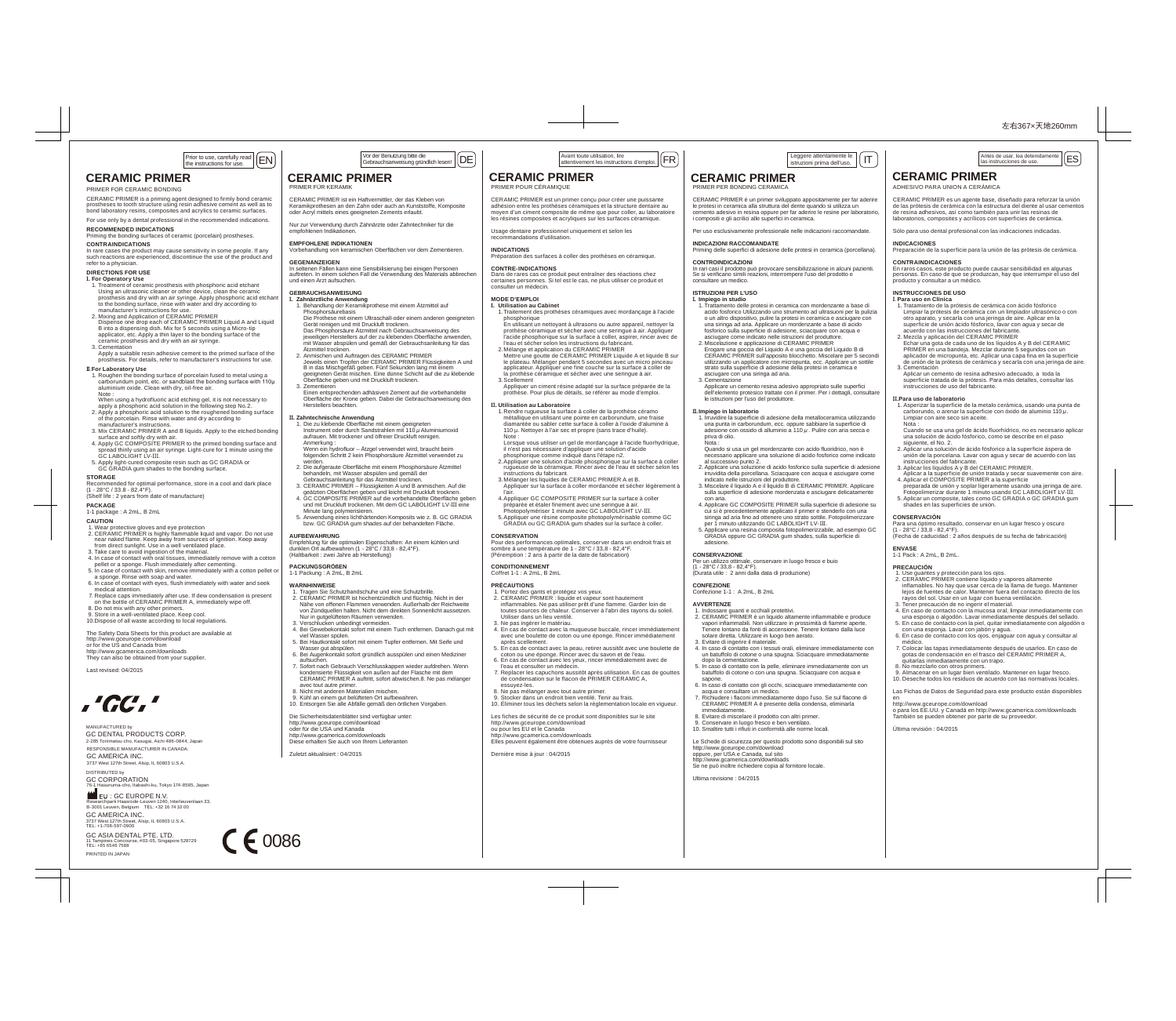# **CERAMIC PRIMER**

PRIMER FOR CERAMIC BONDING

CERAMIC PRIMER is a priming agent designed to firmly bond ceramic prostheses to tooth structure using resin adhesive cement as well as to bond laboratory resins, composites and acrylics to ceramic surfaces. For use only by a dental professional in the recommended indications.

### **RECOMMENDED INDICATIONS**

Priming the bonding surfaces of ceramic (porcelain) prostheses. **CONTRAINDICATIONS**

#### In rare cases the product may cause sensitivity in some people. If any such reactions are experienced, discontinue the use of the product and refer to a physician.

**DIRECTIONS FOR USE**

**I. For Operatory Use** 1. Treatment of ceramic prosthesis with phosphoric acid etchant Using an ultrasonic cleaner or other device, clean the ceramic prosthesis and dry with an air syringe. Apply phosphoric acid etchant to the bonding surface, rinse with water and dry according to

- manufacturer's instructions for use. 2. Mixing and Application of CERAMIC PRIMER
- Dispense one drop each of CERAMIC PRIMER Liquid A and Liquid B into a dispensing dish. Mix for 5 seconds using a Micro-tip applicator, etc. Apply a thin layer to the bonding surface of the ceramic prosthesis and dry with an air syringe.
- 3. Cementation
- Apply a suitable resin adhesive cement to the primed surface of the prosthesis. For details, refer to manufacturer's instructions for use.

## **II**.**For Laboratory Use**

 1. Roughen the bonding surface of porcelain fused to metal using a carborundum point, etc. or sandblast the bonding surface with 110μ aluminium oxide. Clean with dry, oil-free air.

- Note : When using a hydrofluoric acid etching gel, it is not necessary to
- apply a phosphoric acid solution in the following step No.2. 2. Apply a phosphoric acid solution to the roughened bonding surface
- of the porcelain. Rinse with water and dry according to manufacturer's instructions.
- 3. Mix CERAMIC PRIMER A and B liquids. Apply to the etched bonding surface and softly dry with air.
- 4. Apply GC COMPOSITE PRIMER to the primed bonding surface and spread thinly using an air syringe. Light-cure for 1 minute using the GC LABOLIGHT LV-III.
- 5. Apply light-cured composite resin such as GC GRADIA or GC GRADIA gum shades to the bonding surface.

**STORAGE** Recommended for optimal performance, store in a cool and dark place  $(1 - 28\degree C / 33.8 - 82.4\degree F)$ .

## (Shelf life : 2 years from date of manufacture)

**PACKAGE** 1-1 package : A 2mL, B 2mL

## **CAUTION**

 1. Wear protective gloves and eye protection 2. CERAMIC PRIMER is highly flammable liquid and vapor. Do not use near naked flame. Keep away from sources of ignition. Keep away from direct sunlight. Use in a well ventilated place.

- 3. Take care to avoid ingestion of the material.
- 4. In case of contact with oral tissues, immediately remove with a cotton pellet or a sponge. Flush immediately after cementing.
- 5. In case of contact with skin, remove immediately with a cotton pellet c<br>a sponge. Rinse with soap and water. a sponge. Rinse with soap and water. 6. In case of contact with eyes, flush immediately with water and seek
- medical attention. 7. Replace caps immediately after use. If dew condensation is present on the bottle of CERAMIC PRIMER A, immediately wipe off.
- 8. Do not mix with any other primers. 9. Store in a well-ventilated place. Keep cool.
- 10. Dispose of all waste according to local regulations.

The Safety Data Sheets for this product are available at http://www.gceurope.com/download or for the US and Canada from http://www.gcamerica.com/downloads

They can also be obtained from your supplier

Last revised: 04/2015



2-285 Toriimatsu-cho, Kasugai, Aichi 486-0844, Japan MANUFACTURED by GC DENTAL PRODUCTS CORP. RESPONSIBLE MANUFACTURER IN CANADA:

DISTRIBUTED by 3737 West 127th Street, Alsip, IL 60803 U.S.A. GC AMERICA INC.

 GC CORPORATION \*\*<br>shi-ku, Tokyo 174-8585, Japan

GC AMERICA INC. 3737 West 127th Street, Alsip, IL 60803 U.S.A. TEL: +1-708-597-0900 EU : GC EUROPE N.V. Researchpark Haasrode-Leuven 1240, Interleuvenlaan 33, B-3001 Leuven, Belgium TEL: +32 16 74 10 00

PRINTED IN JAPAN GC ASIA DENTAL PTE. LTD. 11 Tampines Concourse, #03-05, Singapore 528729 TEL: +65 6546 7588



### **CERAMIC PRIMER** PRIMER FÜR KERAMIK

CERAMIC PRIMER ist ein Haftvermittler, der das Kleben von Keramikprothesen an den Zahn oder auch an Kunststoffe, Komposite oder Acryl mittels eines geeigneten Zements erlaubt.

Nur zur Verwendung durch Zahnärzte oder Zahntechniker für die empfohlenen Indikationen.

### **EMPFOHLENE INDIKATIONEN**

# Vorbehandlung von keramischen Oberflächen vor dem Zementieren.

**GEGENANZEIGEN** In seltenen Fällen kann eine Sensibilisierung bei einigen Personen auftreten. In einem solchen Fall die Verwendung des Materials abbrechen und einen Arzt aufsuchen.

#### **GEBRAUCHSANWEISUNG I. Zahnärztliche Anwendung**

- 1. Behandlung der Keramikprothese mit einem Ätzmittel auf Phosphorsäurebasis Die Prothese mit einem Ultraschall-oder einem anderen geeigneten Gerät reinigen und mit Druckluft trocknen. Das Phosphorsäure Ätzmittel nach Gebrauchsanweisung des jeweiligen Herstellers auf der zu klebenden Oberfläche anwenden en mit Wasser abspüten und gemäß der Gebrauchsanleitung für das
- Ätzmittel trocknen. 2. Anmischen und Auftragen des CERAMIC PRIMER Jeweils einen Tropfen der CERAMIC PRIMER Flüssigkeiten A und B in das Mischgefäß geben. Fünf Sekunden lang mit einem geeigneten Gerät mischen. Eine dünne Schicht auf die zu klebende Oberfläche geben und mit Druckluft trocknen.
- 3. Zementieren Einen entsprechenden adhäsiven Zement auf die vorbehandelte Oberfläche der Krone geben. Dabei die Gebrauchsanweisung des

Herstellers beachten.

- **II. Zahntechnische Anwendung**<br>1. Die zu klebende Oberfläche mit einem geeigneten<br>Instrument oder durch Sandstrahlen mit 110 μ Aluminiumoxid aufrauen. Mit trockener und ölfreier Druckluft reinigen.
- Anmerkung : Wenn ein hydrofluor Ätzgel verwendet wird, braucht beim folgenden Schritt 2 kein Phosphorsäure Ätzmittel verwendet zu
- werden. 2. Die aufgeraute Oberfläche mit einem Phosphorsäure Ätzmittel behandeln, mit Wasser abspülen und gemäß der
- Gebrauchsanleitung für das Ätzmittel trocknen. 3. CERAMIC PRIMER Flüssigkeiten A und B anmischen. Auf die
- geätzten Oberflächen geben und leicht mit Druckluft trocknen. 4. GC COMPOSITE PRIMER auf die vorbehandelte Oberfläche geben und mit Druckluft trockenen. Mit dem GC LABOLIGHT LV-III eine
- Minute lang polymerisieren. 5. Anwendung eines lichthärtenden Komposits wie z. B. GC GRADIA bzw. GC GRADIA gum shades auf der behandelten Fläche.

### **AUFBEWAHRUNG**

Empfehlung für die optimalen Eigenschaften: An einem kühlen und dunklen Ort aufbewahren (1 - 28°C / 33,8 - 82,4°F). (Haltbarkeit : zwei Jahre ab Herstellung)

## **PACKUNGSGRÖßEN**

1-1 Packung : A 2mL, B 2mL

# **WARNHINWEISE**

- 1. Tragen Sie Schutzhandschuhe und eine Schutzbrille. 2. CERAMIC PRIMER ist hochentzündlich und flüchtig. Nicht in der Nähe von offenen Flammen verwenden. Außerhalb der Reichweite von Zündquellen halten. Nicht dem direkten Sonnenlicht aussetzen.
- Nur in gutgelüfteten Räumen verwenden. 3. Verschlucken unbedingt vermeiden.
- 4. Bei Gewebekontakt sofort mit einem Tuch entfernen. Danach gut mit viel Wasser spülen.
- 5. Bei Hautkontakt sofort mit einem Tupfer entfernen. Mit Seife und Wasser gut abspülen.
- 6. Bei Augenkontakt sofort gründlich ausspülen und einen Mediziner aufsuchen. 7. Sofort nach Gebrauch Verschlusskappen wieder aufdrehen. Wenn
- kondensierte Flüssigkeit von außen auf der Flasche mit dem CERAMIC PRIMER A auftritt, sofort abwischen.8. Ne pas mélanger avec tout autre primer.
- 8. Nicht mit anderen Materialien mischen. 9. Kühl an einem gut belüfteten Ort aufbewahren.
- 10. Entsorgen Sie alle Abfälle gemäß den örtlichen Vorgaben.

### Die Sicherheitsdatenblätter sind verfügbar unter: http://www.gceurope.com/download oder für die USA und Kanada http://www.gcamerica.com/downloads Diese erhalten Sie auch von Ihrem Lieferanten

Zuletzt aktualisiert : 04/2015

CF 0086

Vor der Benutzung bitte die Gebrauchsanweisung gründlich lesen!  $\overline{\text{[DE]}}$   $\overline{\text{[DE]}}$   $\overline{\text{[A}}$  Avant toute utilisation, lire attentivement les instructions d'emploi.  $\overline{\text{[FR]}}$ Avant toute utilisation, lire<br>attentivement les instructions d'emploi.  $\boxed{\mathsf{FR}}$ 

> **CERAMIC PRIMER** PRIMER POUR CÉRAMIQUE

> > recommandations d'utilisation.

**CONTRE-INDICATIONS**

consulter un médecin. **MODE D'EMPLOI**

phosphorique

3. Scellement

**CONSERVATION**

**CONDITIONNEMENT** Coffret 1-1 : A 2mL, B 2mL **PRÉCAUTIONS**

**II. Utilisation au Laboratoire**

CERAMIC PRIMER est un primer conçu pour créer une puissante adhésion entre les prothèses céramiques et la structure dentaire au moyen d'un ciment composite de même que pour coller, au laboratoire les résines composites et acryliques sur les surfaces céramique. Usage dentaire professionnel uniquement et selon les

**INDICATIONS** Préparation des surfaces à coller des prothèses en céramique.

Dans de rares cas ce produit peut entraîner des réactions chez certaines personnes. Si tel est le cas, ne plus utiliser ce produit et

 l'eau et sécher selon les instructions du fabricant. 2. Mélange et application du CERAMIC PRIMER

**I. Utilisation au Cabinet** 1. Traitement des prothèses céramiques avec mordançage à l'acide

 En utilisant un nettoyant à ultrasons ou autre appareil, nettoyer la prothèse céramique et sécher avec une seringue à air. Appliquer l'acide phosphorique sur la surface à coller, aspirer, rincer avec de

 Mettre une goutte de CERAMIC PRIMER Liquide A et liquide B sur le plateau. Mélanger pendant 5 secondes avec un micro pinceau applicateur. Appliquer une fine couche sur la surface à coller de la prothèse céramique et sécher avec une seringue à air.

 Appliquer un ciment résine adapté sur la surface préparée de la prothèse. Pour plus de détails, se référer au mode d'emploi.

 2. Appliquer une solution d'acide phosphorique sur la surface à coller rugueuse de la céramique. Rincer avec de l'eau et sécher selon les

Appliquer sur la surface à coller mordancée et sécher légèrement a l'air. 4. Appliquer GC COMPOSITE PRIMER sur la surface à coller préparée et étaler finement avec une seringue à air. Photopolymériser 1 minute avec GC LABOLIGHT LV-III. 5. Appliquer une résine composite photopolymérisable comme GC GRADIA ou GC GRADIA gum shades sur la surface à coller.

Pour des performances optimales, conserver dans un endroit frais et sombre à une température de 1 - 28°C / 33,8 - 82,4°F.

 4. En cas de contact avec la muqueuse buccale, rincer immédiatement avec une boulette de coton ou une éponge. Rincer immédiatement

 5. En cas de contact avec la peau, retirer aussitôt avec une boulette de coton ou une éponge. Rincer avec du savon et de l'eau. 6. En cas de contact avec les yeux, rincer immédiatement avec de

 7. Replacer les capuchons aussitôt après utilisation. En cas de gouttes de condensation sur le flacon de PRIMER CERAMIC A,

Elles peuvent également être obtenues auprès de votre fournisseur

instructions du fabricant. 3. Mélanger les liquides de CERAMIC PRIMER A et B.

(Péremption : 2 ans à partir de la date de fabrication)

 2. CERAMIC PRIMER : liquide et vapeur sont hautement inflammables. Ne pas utiliser prêt d'une flamme. Garder loin de toutes sources de chaleur. Conserver à l'abri des rayons du soleil.

1. Portez des gants et protégez vos yeux.

 Utiliser dans un lieu ventilé. 3. Ne pas ingérer le matériau.

l'eau et consulter un médecin.

http://www.gceurope.com/download ou pour les EU et le Canada http://www.gcamerica.com/downloads

Dernière mise à jour : 04/2015

 8. Ne pas mélanger avec tout autre primer. 9. Stocker dans un endroit bien ventilé. Tenir au frais. 10. Éliminer tous les déchets selon la règlementation locale en vigueur. Les fiches de sécurité de ce produit sont disponibles sur le site

après scellement.

essuyez-les.

 1. Rendre rugueuse la surface à coller de la prothèse céramo métallique en utilisant une pointe en carborundum, une fraise diamantée ou sabler cette surface à coller à l'oxide d'alumine à 110 µ. Nettoyer à l'air sec et propre (sans trace d'huile). Note : Lorsque vous utiliser un gel de mordançage à l'acide fluorhydrique, il n'est pas nécessaire d'appliquer une solution d'acide phosphorique comme indiqué dans l'étape n2.

# **CERAMIC PRIMER**

# PRIMER PER BONDING CERAMICA

CERAMIC PRIMER è un primer sviluppato appositamente per far aderire<br>le protesi in ceramica alla struttura del dente quando si utilizza un le protesi in ceramica alla struttura del dente quando si utilizza un cemento adesivo in resina oppure per far aderire le resine per laboratorio, i compositi e gli acrilici alle superfici in ceramica.

Leggere attentamente le  $\left(\prod_{\text{istruzioni orima dell'uso.}}\right)$   $\left(\prod_{\text{lasturzioni orima dell'uso.}}\right)$ 

**INDICACIONES**

3. Cementación

Nota :

**CONSERVACIÓN**

1-1 Pack : A 2mL, B 2mL. **PRECAUCIÓN**

**ENVASE**

médico.

**II.Para uso de laboratorio**

siguiente, el No. 2.

**CONTRAINDICACIONES**

producto y consultar a un médico. **INSTRUCCIONES DE USO I**. **Para uso en Clínica**

**CERAMIC PRIMER** ADHESIVO PARA UNION A CERÁMICA

las instrucciones de uso.

CERAMIC PRIMER es un agente base, diseñado para reforzar la unión de las prótesis de cerámica con la estructura del diente al usar cementos de resina adhesivos, así como también para unir las resinas de laboratorios, composites y acrílicos con superficies de cerámica. Sólo para uso dental profesional con las indicaciones indicadas.

Preparación de la superficie para la unión de las prótesis de cerámica.

En raros casos, este producto puede causar sensibilidad en algunas personas. En caso de que se produzcan, hay que interrumpir el uso del

 1. Tratamiento de la prótesis de cerámica con ácido fósforico Limpiar la prótesis de cerámica con un limpiador ultrasónico o con otro aparato, y secarla con una jeringa de aire. Aplicar en la superficie de unión ácido fósforico, lavar con agua y secar de

 Echar una gota de cada uno de los líquidos A y B del CERAMIC PRIMER en una bandeja. Mezclar durante 5 segundos con un aplicador de micropunta, etc. Aplicar una capa fina en la superficie de unión de la prótesis de cerámica y secarla con una jeringa de aire.

 Aplicar un cemento de resina adhesivo adecuado, a toda la superficie tratada de la prótesis. Para más detalles, consultar las

 1. Asperizar la superficie de la metalo cerámica, usando una punta de carborundo, o arenar la superficie con óxido de aluminio 110μ.

 Cuando se usa una gel de ácido fluorhídrico, no es necesario aplicar una solución de ácido fósforico, como se describe en el paso

Aplicar a la superficie de unión tratada y secar suavemente con aire.

 preparada de unión y soplar ligeramente usando una jeringa de aire. Fotopolimerizar durante 1 minuto usando GC LABOLIGHT LV-III. 5. Aplicar un composite, tales como GC GRADIA o GC GRADIA gum

 2. Aplicar una solución de ácido fósforico a la superficie áspera de unión de la porcelana. Lavar con agua y secar de acuerdo con las

Para una óptimo resultado, conservar en un lugar fresco y oscuro (1 - 28°C / 33,8 - 82,4°F). (Fecha de caducidad : 2 años después de su fecha de fabricación)

 1. Use guantes y protección para los ojos. 2. CERAMIC PRIMER contiene líquido y vapores altamente inflamables. No hay que usar cerca de la llama de fuego. Mantener lejos de fuentes de calor. Mantener fuera del contacto directo de los rayos del sol. Usar en un lugar con buena ventilación. 3. Tener precaución de no ingerir el material.

con una esponja. Lavar con jabón y agua.

 quitarlas inmediatamente con un trapo. 8. No mezclarlo con otros primers.

en http://www.gceurope.com/download

Última revisión : 04/2015

 4. En caso de contacto con la mucosa oral, limpiar inmediatamente con una esponja o algodón. Lavar inmediatamente después del sellado. 5. En caso de contacto con la piel, quitar inmediatamente con algodón o

6. En caso de contacto con los ojos, enjaguar con agua y consultar al

7. Colocar las tapas inmediatamente después de usarlos. En caso de gotas de condensación en el frasco del CERAMIC PRIMER A,

 9. Almacenar en un lugar bien ventilado. Mantener en lugar fresco. 10. Deseche todos los residuos de acuerdo con las normativas locales. Las Fichas de Datos de Seguridad para este producto están disponibles

o para los EE.UU. y Canadá en http://www.gcamerica.com/downloads Trambién se pueden se pueden se proveedor.<br>Translation por parte de su proveedor.

3. Aplicar los líquidos A y B del CERAMIC PRIMER.

4. Aplicar el COMPOSITE PRIMER a la superficie

 acuerdo con las instrucciones del fabricante. 2. Mezcla y aplicación del CERAMIC PRIMER

instrucciones de uso del fabricante.

Limpiar con aire seco sin aceite.

instrucciones del fabricante.

shades en las superficies de unión.

Per uso esclusivamente professionale nelle indicazioni raccomandate.

**INDICAZIONI RACCOMANDATE** Priming delle superfici di adesione delle protesi in ceramica (porcellana).

**CONTROINDICAZIONI** In rari casi il prodotto può provocare sensibilizzazione in alcuni pazienti. Se si verificano simili reazioni, interrompere l'uso del prodotto e consultare un medico.

#### **ISTRUZIONI PER L'USO I. Impiego in studio**

 1. Trattamento delle protesi in ceramica con mordenzante a base di acido fosforico Utilizzando uno strumento ad ultrasuoni per la pulizia o un altro dispositivo, pulire la protesi in ceramica e asciugare con una siringa ad aria. Applicare un mordenzante a base di acido fosforico sulla superficie di adesione, sciacquare con acqua e

- asciugare come indicato nelle istruzioni del produttore. 2. Miscelazione e applicazione di CERAMIC PRIMER Erogare una goccia del Liquido A e una goccia del Liquido B di
- CERAMIC PRIMER sull'apposito blocchetto. Miscelare per 5 secondi utilizzando un applicatore con micropunta, ecc. Applicare un sottile strato sulla superficie di adesione della protesi in ceramica e asciugare con una siringa ad aria.
- 3. Cementazione
- Applicare un cemento resina adesivo appropriato sulle superfici dell'elemento protesico trattate con il primer. Per i dettagli, consultare le istruzioni per l'uso del produttore.

### **II.Impiego in laboratorio**

- 1. Irruvidire la superficie di adesione della metalloceramica utilizzando una punta in carborundum, ecc. oppure sabbiare la superficie di adesione con ossido di alluminio a 110 $\mu$ . Pulire con aria secca e priva di olio. Nota :
- Quando si usa un gel mordenzante con acido fluoridrico, non è necessario applicare una soluzione di acido fosforico come indicato al successivo punto 2.
- 2. Applicare una soluzione di acido fosforico sulla superficie di adesione irruvidita della porcellana. Sciacquare con acqua e asciugare come
- indicato nelle istruzioni del produttore. 3. Miscelare il liquido A e il liquido B di CERAMIC PRIMER. Applicare sulla superficie di adesione mordenzata e asciugare delicatamente
- con aria. 4. Applicare GC COMPOSITE PRIMER sulla superficie di adesione su cui si è precedentemente applicato il primer e stenderlo con una siringa ad aria fino ad ottenere uno strato sottile. Fotopolimerizzare
- per 1 minuto utilizzando GC LABOLIGHT LV-III. 5. Applicare una resina composita fotopolimerizzabile, ad esempio GC GRADIA oppure GC GRADIA gum shades, sulla superficie di adesione.

 2. CERAMIC PRIMER è un liquido altamente infiammabile e produce vapori infiammabili. Non utilizzare in prossimità di fiamme aperte. Tenere lontano da fonti di accensione. Tenere lontano dalla luce

 4. In caso di contatto con i tessuti orali, eliminare immediatamente con un batuffolo di cotone o una spugna. Sciacquare immediata

 5. In caso di contatto con la pelle, eliminare immediatamente con un batuffolo di cotone o con una spugna. Sciacquare con acqua e

 6. In caso di contatto con gli occhi, sciacquare immediatamente con acqua e consultare un medico. 7. Richiudere i flaconi immediatamente dopo l'uso. Se sul flacone di CERAMIC PRIMER A è presente della condensa, eliminarla

Le Schede di sicurezza per questo prodotto sono disponibili sul sito

# **CONSERVAZIONE**

Per un utilizzo ottimale, conservare in luogo fresco e buio (1 - 28°C / 33,8 - 82,4°F). (Durata utile : 2 anni dalla data di produzione)

solare diretta. Utilizzare in luogo ben aerato.

 8. Evitare di miscelare il prodotto con altri primer. 9. Conservare in luogo fresco e ben ventilato. 10. Smaltire tutti i rifiuti in conformità alle norme locali.

1. Indossare guanti e occhiali protettivi.

3. Evitare di ingerire il materiale.

dopo la cementazione.

immediatamente.

Ultima revisione : 04/2015

http://www.gceurope.com/download oppure, per USA e Canada, sul sito ://www.gcamerica.com/downloads Se ne può inoltre richiedere copia al fornitore locale.

#### **CONFEZIONE** Confezione 1-1 : A 2mL, B 2mL

**AVVERTENZE**

sapone.